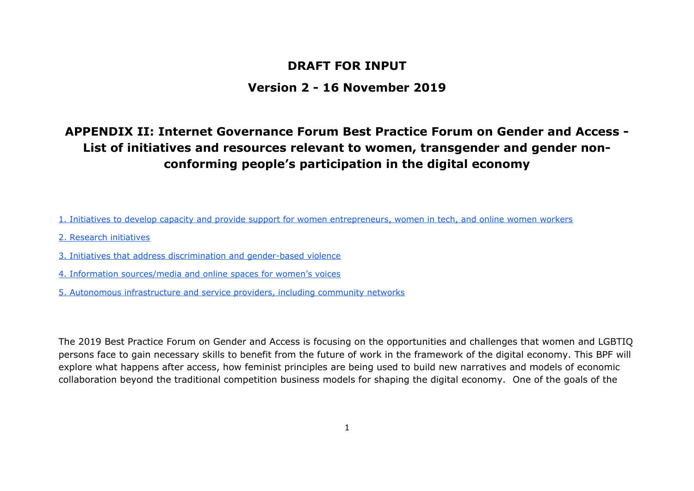### **DRAFT FOR INPUT**

### **Version 2 - 16 November 2019**

## **APPENDIX II: Internet Governance Forum Best Practice Forum on Gender and Access - List of initiatives and resources relevant to women, transgender and gender nonconforming people's participation in the digital economy**

- [1. Initiatives to develop capacity and provide support for women entrepreneurs, women in tech, and online women workers](#page-1-0)
- [2. Research initiatives](#page-8-0)
- [3. Initiatives that address discrimination and gender-based violence](#page-12-0)
- [4. Information sources/media and online spaces for women's voices](#page-16-0)
- [5. Autonomous infrastructure and service providers, including community networks](#page-17-0)

The 2019 Best Practice Forum on Gender and Access is focusing on the opportunities and challenges that women and LGBTIQ persons face to gain necessary skills to benefit from the future of work in the framework of the digital economy. This BPF will explore what happens after access, how feminist principles are being used to build new narratives and models of economic collaboration beyond the traditional competition business models for shaping the digital economy. One of the goals of the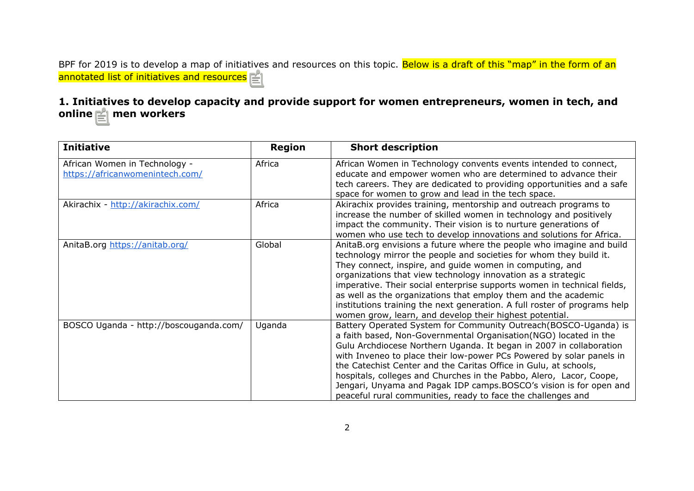BPF for 2019 is to develop a map of initiatives and resources on this topic. Below is a draft of this "map" in the form of an annotated list of initiatives and resources.

#### <span id="page-1-0"></span>**1. Initiatives to develop capacity and provide support for women entrepreneurs, women in tech, and online women workers**

| <b>Initiative</b>                                                | <b>Region</b> | <b>Short description</b>                                                                                                                                                                                                                                                                                                                                                                                                                                                                                                                                             |
|------------------------------------------------------------------|---------------|----------------------------------------------------------------------------------------------------------------------------------------------------------------------------------------------------------------------------------------------------------------------------------------------------------------------------------------------------------------------------------------------------------------------------------------------------------------------------------------------------------------------------------------------------------------------|
| African Women in Technology -<br>https://africanwomenintech.com/ | Africa        | African Women in Technology convents events intended to connect,<br>educate and empower women who are determined to advance their<br>tech careers. They are dedicated to providing opportunities and a safe<br>space for women to grow and lead in the tech space.                                                                                                                                                                                                                                                                                                   |
| Akirachix - http://akirachix.com/                                | Africa        | Akirachix provides training, mentorship and outreach programs to<br>increase the number of skilled women in technology and positively<br>impact the community. Their vision is to nurture generations of<br>women who use tech to develop innovations and solutions for Africa.                                                                                                                                                                                                                                                                                      |
| AnitaB.org https://anitab.org/                                   | Global        | AnitaB.org envisions a future where the people who imagine and build<br>technology mirror the people and societies for whom they build it.<br>They connect, inspire, and guide women in computing, and<br>organizations that view technology innovation as a strategic<br>imperative. Their social enterprise supports women in technical fields,<br>as well as the organizations that employ them and the academic<br>institutions training the next generation. A full roster of programs help<br>women grow, learn, and develop their highest potential.          |
| BOSCO Uganda - http://boscouganda.com/                           | Uganda        | Battery Operated System for Community Outreach (BOSCO-Uganda) is<br>a faith based, Non-Governmental Organisation(NGO) located in the<br>Gulu Archdiocese Northern Uganda. It began in 2007 in collaboration<br>with Inveneo to place their low-power PCs Powered by solar panels in<br>the Catechist Center and the Caritas Office in Gulu, at schools,<br>hospitals, colleges and Churches in the Pabbo, Alero, Lacor, Coope,<br>Jengari, Unyama and Pagak IDP camps.BOSCO's vision is for open and<br>peaceful rural communities, ready to face the challenges and |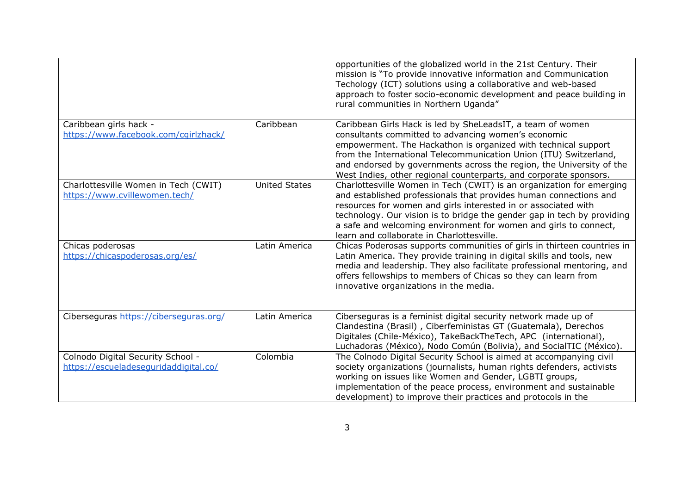|                                                                            |                      | opportunities of the globalized world in the 21st Century. Their<br>mission is "To provide innovative information and Communication<br>Techology (ICT) solutions using a collaborative and web-based<br>approach to foster socio-economic development and peace building in<br>rural communities in Northern Uganda"                                                                                    |
|----------------------------------------------------------------------------|----------------------|---------------------------------------------------------------------------------------------------------------------------------------------------------------------------------------------------------------------------------------------------------------------------------------------------------------------------------------------------------------------------------------------------------|
| Caribbean girls hack -<br>https://www.facebook.com/cgirlzhack/             | Caribbean            | Caribbean Girls Hack is led by SheLeadsIT, a team of women<br>consultants committed to advancing women's economic<br>empowerment. The Hackathon is organized with technical support<br>from the International Telecommunication Union (ITU) Switzerland,<br>and endorsed by governments across the region, the University of the<br>West Indies, other regional counterparts, and corporate sponsors.   |
| Charlottesville Women in Tech (CWIT)<br>https://www.cvillewomen.tech/      | <b>United States</b> | Charlottesville Women in Tech (CWIT) is an organization for emerging<br>and established professionals that provides human connections and<br>resources for women and girls interested in or associated with<br>technology. Our vision is to bridge the gender gap in tech by providing<br>a safe and welcoming environment for women and girls to connect,<br>learn and collaborate in Charlottesville. |
| Chicas poderosas<br>https://chicaspoderosas.org/es/                        | Latin America        | Chicas Poderosas supports communities of girls in thirteen countries in<br>Latin America. They provide training in digital skills and tools, new<br>media and leadership. They also facilitate professional mentoring, and<br>offers fellowships to members of Chicas so they can learn from<br>innovative organizations in the media.                                                                  |
| Ciberseguras https://ciberseguras.org/                                     | Latin America        | Ciberseguras is a feminist digital security network made up of<br>Clandestina (Brasil), Ciberfeministas GT (Guatemala), Derechos<br>Digitales (Chile-México), TakeBackTheTech, APC (international),<br>Luchadoras (México), Nodo Común (Bolivia), and SocialTIC (México).                                                                                                                               |
| Colnodo Digital Security School -<br>https://escueladeseguridaddigital.co/ | Colombia             | The Colnodo Digital Security School is aimed at accompanying civil<br>society organizations (journalists, human rights defenders, activists<br>working on issues like Women and Gender, LGBTI groups,<br>implementation of the peace process, environment and sustainable<br>development) to improve their practices and protocols in the                                                               |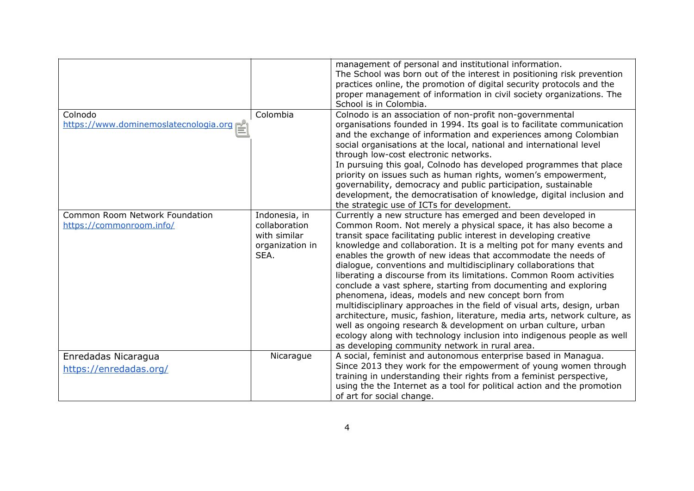|                                                            |                                                                           | management of personal and institutional information.<br>The School was born out of the interest in positioning risk prevention<br>practices online, the promotion of digital security protocols and the<br>proper management of information in civil society organizations. The<br>School is in Colombia.                                                                                                                                                                                                                                                                                                                                                                                                                                                                                                                                                                                                                                                           |
|------------------------------------------------------------|---------------------------------------------------------------------------|----------------------------------------------------------------------------------------------------------------------------------------------------------------------------------------------------------------------------------------------------------------------------------------------------------------------------------------------------------------------------------------------------------------------------------------------------------------------------------------------------------------------------------------------------------------------------------------------------------------------------------------------------------------------------------------------------------------------------------------------------------------------------------------------------------------------------------------------------------------------------------------------------------------------------------------------------------------------|
| Colnodo<br>https://www.dominemoslatecnologia.org/          | Colombia                                                                  | Colnodo is an association of non-profit non-governmental<br>organisations founded in 1994. Its goal is to facilitate communication<br>and the exchange of information and experiences among Colombian<br>social organisations at the local, national and international level<br>through low-cost electronic networks.<br>In pursuing this goal, Colnodo has developed programmes that place<br>priority on issues such as human rights, women's empowerment,<br>governability, democracy and public participation, sustainable<br>development, the democratisation of knowledge, digital inclusion and<br>the strategic use of ICTs for development.                                                                                                                                                                                                                                                                                                                 |
| Common Room Network Foundation<br>https://commonroom.info/ | Indonesia, in<br>collaboration<br>with similar<br>organization in<br>SEA. | Currently a new structure has emerged and been developed in<br>Common Room. Not merely a physical space, it has also become a<br>transit space facilitating public interest in developing creative<br>knowledge and collaboration. It is a melting pot for many events and<br>enables the growth of new ideas that accommodate the needs of<br>dialogue, conventions and multidisciplinary collaborations that<br>liberating a discourse from its limitations. Common Room activities<br>conclude a vast sphere, starting from documenting and exploring<br>phenomena, ideas, models and new concept born from<br>multidisciplinary approaches in the field of visual arts, design, urban<br>architecture, music, fashion, literature, media arts, network culture, as<br>well as ongoing research & development on urban culture, urban<br>ecology along with technology inclusion into indigenous people as well<br>as developing community network in rural area. |
| Enredadas Nicaragua                                        | Nicarague                                                                 | A social, feminist and autonomous enterprise based in Managua.                                                                                                                                                                                                                                                                                                                                                                                                                                                                                                                                                                                                                                                                                                                                                                                                                                                                                                       |
| https://enredadas.org/                                     |                                                                           | Since 2013 they work for the empowerment of young women through<br>training in understanding their rights from a feminist perspective,<br>using the the Internet as a tool for political action and the promotion<br>of art for social change.                                                                                                                                                                                                                                                                                                                                                                                                                                                                                                                                                                                                                                                                                                                       |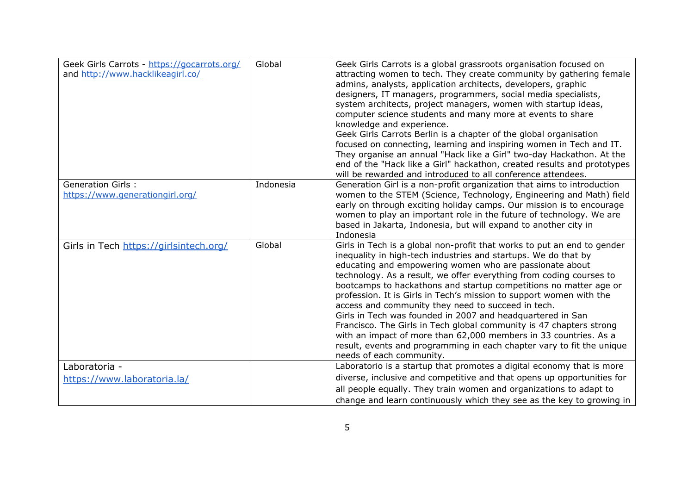| Geek Girls Carrots - https://gocarrots.org/<br>and http://www.hacklikeagirl.co/ | Global    | Geek Girls Carrots is a global grassroots organisation focused on<br>attracting women to tech. They create community by gathering female<br>admins, analysts, application architects, developers, graphic<br>designers, IT managers, programmers, social media specialists,<br>system architects, project managers, women with startup ideas,                                                                                                                                                                                                                                                                                                                                                                                                                                               |
|---------------------------------------------------------------------------------|-----------|---------------------------------------------------------------------------------------------------------------------------------------------------------------------------------------------------------------------------------------------------------------------------------------------------------------------------------------------------------------------------------------------------------------------------------------------------------------------------------------------------------------------------------------------------------------------------------------------------------------------------------------------------------------------------------------------------------------------------------------------------------------------------------------------|
|                                                                                 |           | computer science students and many more at events to share<br>knowledge and experience.<br>Geek Girls Carrots Berlin is a chapter of the global organisation                                                                                                                                                                                                                                                                                                                                                                                                                                                                                                                                                                                                                                |
|                                                                                 |           | focused on connecting, learning and inspiring women in Tech and IT.<br>They organise an annual "Hack like a Girl" two-day Hackathon. At the<br>end of the "Hack like a Girl" hackathon, created results and prototypes                                                                                                                                                                                                                                                                                                                                                                                                                                                                                                                                                                      |
|                                                                                 |           | will be rewarded and introduced to all conference attendees.                                                                                                                                                                                                                                                                                                                                                                                                                                                                                                                                                                                                                                                                                                                                |
| <b>Generation Girls:</b><br>https://www.generationgirl.org/                     | Indonesia | Generation Girl is a non-profit organization that aims to introduction<br>women to the STEM (Science, Technology, Engineering and Math) field<br>early on through exciting holiday camps. Our mission is to encourage<br>women to play an important role in the future of technology. We are<br>based in Jakarta, Indonesia, but will expand to another city in<br>Indonesia                                                                                                                                                                                                                                                                                                                                                                                                                |
| Girls in Tech https://girlsintech.org/                                          | Global    | Girls in Tech is a global non-profit that works to put an end to gender<br>inequality in high-tech industries and startups. We do that by<br>educating and empowering women who are passionate about<br>technology. As a result, we offer everything from coding courses to<br>bootcamps to hackathons and startup competitions no matter age or<br>profession. It is Girls in Tech's mission to support women with the<br>access and community they need to succeed in tech.<br>Girls in Tech was founded in 2007 and headquartered in San<br>Francisco. The Girls in Tech global community is 47 chapters strong<br>with an impact of more than 62,000 members in 33 countries. As a<br>result, events and programming in each chapter vary to fit the unique<br>needs of each community. |
| Laboratoria -                                                                   |           | Laboratorio is a startup that promotes a digital economy that is more                                                                                                                                                                                                                                                                                                                                                                                                                                                                                                                                                                                                                                                                                                                       |
| https://www.laboratoria.la/                                                     |           | diverse, inclusive and competitive and that opens up opportunities for<br>all people equally. They train women and organizations to adapt to                                                                                                                                                                                                                                                                                                                                                                                                                                                                                                                                                                                                                                                |
|                                                                                 |           | change and learn continuously which they see as the key to growing in                                                                                                                                                                                                                                                                                                                                                                                                                                                                                                                                                                                                                                                                                                                       |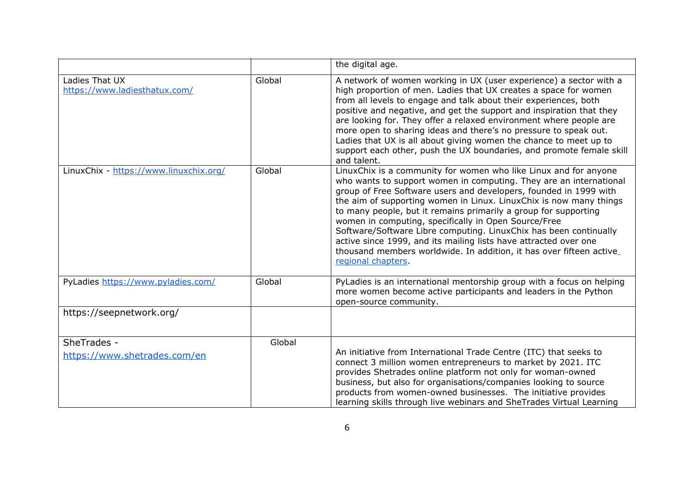|                                                 |        | the digital age.                                                                                                                                                                                                                                                                                                                                                                                                                                                                                                                                                                                                                                   |
|-------------------------------------------------|--------|----------------------------------------------------------------------------------------------------------------------------------------------------------------------------------------------------------------------------------------------------------------------------------------------------------------------------------------------------------------------------------------------------------------------------------------------------------------------------------------------------------------------------------------------------------------------------------------------------------------------------------------------------|
| Ladies That UX<br>https://www.ladiesthatux.com/ | Global | A network of women working in UX (user experience) a sector with a<br>high proportion of men. Ladies that UX creates a space for women<br>from all levels to engage and talk about their experiences, both<br>positive and negative, and get the support and inspiration that they<br>are looking for. They offer a relaxed environment where people are<br>more open to sharing ideas and there's no pressure to speak out.<br>Ladies that UX is all about giving women the chance to meet up to<br>support each other, push the UX boundaries, and promote female skill<br>and talent.                                                           |
| LinuxChix - https://www.linuxchix.org/          | Global | LinuxChix is a community for women who like Linux and for anyone<br>who wants to support women in computing. They are an international<br>group of Free Software users and developers, founded in 1999 with<br>the aim of supporting women in Linux. LinuxChix is now many things<br>to many people, but it remains primarily a group for supporting<br>women in computing, specifically in Open Source/Free<br>Software/Software Libre computing. LinuxChix has been continually<br>active since 1999, and its mailing lists have attracted over one<br>thousand members worldwide. In addition, it has over fifteen active<br>regional chapters. |
| PyLadies https://www.pyladies.com/              | Global | PyLadies is an international mentorship group with a focus on helping<br>more women become active participants and leaders in the Python<br>open-source community.                                                                                                                                                                                                                                                                                                                                                                                                                                                                                 |
| https://seepnetwork.org/                        |        |                                                                                                                                                                                                                                                                                                                                                                                                                                                                                                                                                                                                                                                    |
| SheTrades -<br>https://www.shetrades.com/en     | Global | An initiative from International Trade Centre (ITC) that seeks to<br>connect 3 million women entrepreneurs to market by 2021. ITC<br>provides Shetrades online platform not only for woman-owned<br>business, but also for organisations/companies looking to source<br>products from women-owned businesses. The initiative provides<br>learning skills through live webinars and SheTrades Virtual Learning                                                                                                                                                                                                                                      |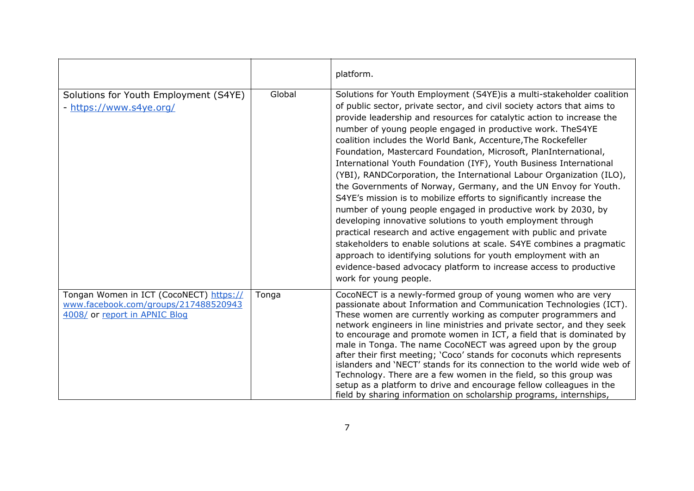|                                                                                                                  |        | platform.                                                                                                                                                                                                                                                                                                                                                                                                                                                                                                                                                                                                                                                                                                                                                                                                                                                                                                                                                                                                                                                                                                                                                          |
|------------------------------------------------------------------------------------------------------------------|--------|--------------------------------------------------------------------------------------------------------------------------------------------------------------------------------------------------------------------------------------------------------------------------------------------------------------------------------------------------------------------------------------------------------------------------------------------------------------------------------------------------------------------------------------------------------------------------------------------------------------------------------------------------------------------------------------------------------------------------------------------------------------------------------------------------------------------------------------------------------------------------------------------------------------------------------------------------------------------------------------------------------------------------------------------------------------------------------------------------------------------------------------------------------------------|
| Solutions for Youth Employment (S4YE)<br>- https://www.s4ye.org/                                                 | Global | Solutions for Youth Employment (S4YE) is a multi-stakeholder coalition<br>of public sector, private sector, and civil society actors that aims to<br>provide leadership and resources for catalytic action to increase the<br>number of young people engaged in productive work. TheS4YE<br>coalition includes the World Bank, Accenture, The Rockefeller<br>Foundation, Mastercard Foundation, Microsoft, PlanInternational,<br>International Youth Foundation (IYF), Youth Business International<br>(YBI), RANDCorporation, the International Labour Organization (ILO),<br>the Governments of Norway, Germany, and the UN Envoy for Youth.<br>S4YE's mission is to mobilize efforts to significantly increase the<br>number of young people engaged in productive work by 2030, by<br>developing innovative solutions to youth employment through<br>practical research and active engagement with public and private<br>stakeholders to enable solutions at scale. S4YE combines a pragmatic<br>approach to identifying solutions for youth employment with an<br>evidence-based advocacy platform to increase access to productive<br>work for young people. |
| Tongan Women in ICT (CocoNECT) https://<br>www.facebook.com/groups/217488520943<br>4008/ or report in APNIC Blog | Tonga  | CocoNECT is a newly-formed group of young women who are very<br>passionate about Information and Communication Technologies (ICT).<br>These women are currently working as computer programmers and<br>network engineers in line ministries and private sector, and they seek<br>to encourage and promote women in ICT, a field that is dominated by<br>male in Tonga. The name CocoNECT was agreed upon by the group<br>after their first meeting; 'Coco' stands for coconuts which represents<br>islanders and 'NECT' stands for its connection to the world wide web of<br>Technology. There are a few women in the field, so this group was<br>setup as a platform to drive and encourage fellow colleagues in the<br>field by sharing information on scholarship programs, internships,                                                                                                                                                                                                                                                                                                                                                                       |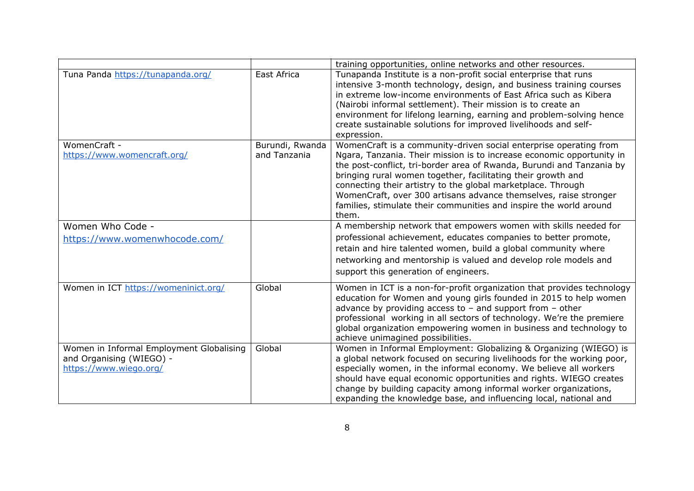|                                                                      |                                 | training opportunities, online networks and other resources.                                                                                                                                                                                                                                                                                                                                                                         |
|----------------------------------------------------------------------|---------------------------------|--------------------------------------------------------------------------------------------------------------------------------------------------------------------------------------------------------------------------------------------------------------------------------------------------------------------------------------------------------------------------------------------------------------------------------------|
| Tuna Panda https://tunapanda.org/                                    | East Africa                     | Tunapanda Institute is a non-profit social enterprise that runs<br>intensive 3-month technology, design, and business training courses<br>in extreme low-income environments of East Africa such as Kibera<br>(Nairobi informal settlement). Their mission is to create an<br>environment for lifelong learning, earning and problem-solving hence<br>create sustainable solutions for improved livelihoods and self-<br>expression. |
| WomenCraft -<br>https://www.womencraft.org/                          | Burundi, Rwanda<br>and Tanzania | WomenCraft is a community-driven social enterprise operating from<br>Ngara, Tanzania. Their mission is to increase economic opportunity in<br>the post-conflict, tri-border area of Rwanda, Burundi and Tanzania by                                                                                                                                                                                                                  |
|                                                                      |                                 | bringing rural women together, facilitating their growth and<br>connecting their artistry to the global marketplace. Through<br>WomenCraft, over 300 artisans advance themselves, raise stronger<br>families, stimulate their communities and inspire the world around<br>them.                                                                                                                                                      |
| Women Who Code -                                                     |                                 | A membership network that empowers women with skills needed for                                                                                                                                                                                                                                                                                                                                                                      |
| https://www.womenwhocode.com/                                        |                                 | professional achievement, educates companies to better promote,                                                                                                                                                                                                                                                                                                                                                                      |
|                                                                      |                                 | retain and hire talented women, build a global community where                                                                                                                                                                                                                                                                                                                                                                       |
|                                                                      |                                 | networking and mentorship is valued and develop role models and<br>support this generation of engineers.                                                                                                                                                                                                                                                                                                                             |
| Women in ICT https://womeninict.org/                                 | Global                          | Women in ICT is a non-for-profit organization that provides technology<br>education for Women and young girls founded in 2015 to help women<br>advance by providing access to $-$ and support from $-$ other<br>professional working in all sectors of technology. We're the premiere<br>global organization empowering women in business and technology to<br>achieve unimagined possibilities.                                     |
| Women in Informal Employment Globalising<br>and Organising (WIEGO) - | Global                          | Women in Informal Employment: Globalizing & Organizing (WIEGO) is<br>a global network focused on securing livelihoods for the working poor,                                                                                                                                                                                                                                                                                          |
| https://www.wiego.org/                                               |                                 | especially women, in the informal economy. We believe all workers                                                                                                                                                                                                                                                                                                                                                                    |
|                                                                      |                                 | should have equal economic opportunities and rights. WIEGO creates                                                                                                                                                                                                                                                                                                                                                                   |
|                                                                      |                                 | change by building capacity among informal worker organizations,                                                                                                                                                                                                                                                                                                                                                                     |
|                                                                      |                                 | expanding the knowledge base, and influencing local, national and                                                                                                                                                                                                                                                                                                                                                                    |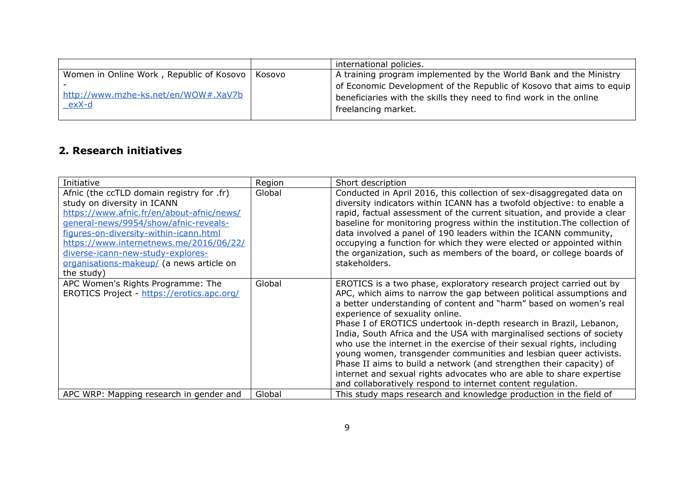|                                                      | international policies.                                                                                                                                           |
|------------------------------------------------------|-------------------------------------------------------------------------------------------------------------------------------------------------------------------|
| Women in Online Work, Republic of Kosovo   Kosovo    | A training program implemented by the World Bank and the Ministry                                                                                                 |
| http://www.mzhe-ks.net/en/WOW#.XaV7b<br><u>exX-d</u> | of Economic Development of the Republic of Kosovo that aims to equip<br>beneficiaries with the skills they need to find work in the online<br>freelancing market. |

#### <span id="page-8-0"></span>**2. Research initiatives**

| Initiative                                                                                                                                                                                                                                                                                                                                         | Region | Short description                                                                                                                                                                                                                                                                                                                                                                                                                                                                                                                                                                                                                                                                                                                                               |
|----------------------------------------------------------------------------------------------------------------------------------------------------------------------------------------------------------------------------------------------------------------------------------------------------------------------------------------------------|--------|-----------------------------------------------------------------------------------------------------------------------------------------------------------------------------------------------------------------------------------------------------------------------------------------------------------------------------------------------------------------------------------------------------------------------------------------------------------------------------------------------------------------------------------------------------------------------------------------------------------------------------------------------------------------------------------------------------------------------------------------------------------------|
| Afnic (the ccTLD domain registry for .fr)<br>study on diversity in ICANN<br>https://www.afnic.fr/en/about-afnic/news/<br>general-news/9954/show/afnic-reveals-<br>figures-on-diversity-within-icann.html<br>https://www.internetnews.me/2016/06/22/<br>diverse-icann-new-study-explores-<br>organisations-makeup/ (a news article on<br>the study) | Global | Conducted in April 2016, this collection of sex-disaggregated data on<br>diversity indicators within ICANN has a twofold objective: to enable a<br>rapid, factual assessment of the current situation, and provide a clear<br>baseline for monitoring progress within the institution. The collection of<br>data involved a panel of 190 leaders within the ICANN community,<br>occupying a function for which they were elected or appointed within<br>the organization, such as members of the board, or college boards of<br>stakeholders.                                                                                                                                                                                                                   |
| APC Women's Rights Programme: The<br>EROTICS Project - https://erotics.apc.org/                                                                                                                                                                                                                                                                    | Global | EROTICS is a two phase, exploratory research project carried out by<br>APC, which aims to narrow the gap between political assumptions and<br>a better understanding of content and "harm" based on women's real<br>experience of sexuality online.<br>Phase I of EROTICS undertook in-depth research in Brazil, Lebanon,<br>India, South Africa and the USA with marginalised sections of society<br>who use the internet in the exercise of their sexual rights, including<br>young women, transgender communities and lesbian queer activists.<br>Phase II aims to build a network (and strengthen their capacity) of<br>internet and sexual rights advocates who are able to share expertise<br>and collaboratively respond to internet content regulation. |
| APC WRP: Mapping research in gender and                                                                                                                                                                                                                                                                                                            | Global | This study maps research and knowledge production in the field of                                                                                                                                                                                                                                                                                                                                                                                                                                                                                                                                                                                                                                                                                               |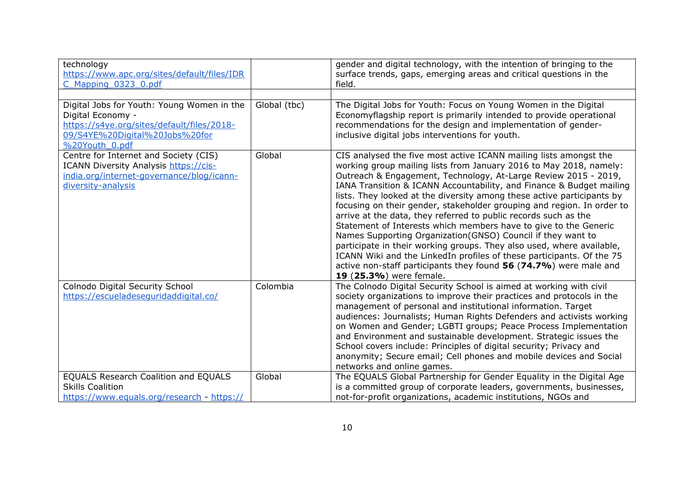| technology<br>https://www.apc.org/sites/default/files/IDR<br>C Mapping 0323 0.pdf                                                                                 |              | gender and digital technology, with the intention of bringing to the<br>surface trends, gaps, emerging areas and critical questions in the<br>field.                                                                                                                                                                                                                                                                                                                                                                                                                                                                                                                                                                                                                                                                                                                                            |
|-------------------------------------------------------------------------------------------------------------------------------------------------------------------|--------------|-------------------------------------------------------------------------------------------------------------------------------------------------------------------------------------------------------------------------------------------------------------------------------------------------------------------------------------------------------------------------------------------------------------------------------------------------------------------------------------------------------------------------------------------------------------------------------------------------------------------------------------------------------------------------------------------------------------------------------------------------------------------------------------------------------------------------------------------------------------------------------------------------|
|                                                                                                                                                                   |              |                                                                                                                                                                                                                                                                                                                                                                                                                                                                                                                                                                                                                                                                                                                                                                                                                                                                                                 |
| Digital Jobs for Youth: Young Women in the<br>Digital Economy -<br>https://s4ye.org/sites/default/files/2018-<br>09/S4YE%20Digital%20Jobs%20for<br>%20Youth 0.pdf | Global (tbc) | The Digital Jobs for Youth: Focus on Young Women in the Digital<br>Economyflagship report is primarily intended to provide operational<br>recommendations for the design and implementation of gender-<br>inclusive digital jobs interventions for youth.                                                                                                                                                                                                                                                                                                                                                                                                                                                                                                                                                                                                                                       |
| Centre for Internet and Society (CIS)<br><b>ICANN Diversity Analysis https://cis-</b><br>india.org/internet-governance/blog/icann-<br>diversity-analysis          | Global       | CIS analysed the five most active ICANN mailing lists amongst the<br>working group mailing lists from January 2016 to May 2018, namely:<br>Outreach & Engagement, Technology, At-Large Review 2015 - 2019,<br>IANA Transition & ICANN Accountability, and Finance & Budget mailing<br>lists. They looked at the diversity among these active participants by<br>focusing on their gender, stakeholder grouping and region. In order to<br>arrive at the data, they referred to public records such as the<br>Statement of Interests which members have to give to the Generic<br>Names Supporting Organization (GNSO) Council if they want to<br>participate in their working groups. They also used, where available,<br>ICANN Wiki and the LinkedIn profiles of these participants. Of the 75<br>active non-staff participants they found 56 (74.7%) were male and<br>19 (25.3%) were female. |
| Colnodo Digital Security School<br>https://escueladeseguridaddigital.co/                                                                                          | Colombia     | The Colnodo Digital Security School is aimed at working with civil<br>society organizations to improve their practices and protocols in the<br>management of personal and institutional information. Target<br>audiences: Journalists; Human Rights Defenders and activists working<br>on Women and Gender; LGBTI groups; Peace Process Implementation<br>and Environment and sustainable development. Strategic issues the<br>School covers include: Principles of digital security; Privacy and<br>anonymity; Secure email; Cell phones and mobile devices and Social<br>networks and online games.                                                                                                                                                                                                                                                                                           |
| EQUALS Research Coalition and EQUALS<br><b>Skills Coalition</b><br>https://www.equals.org/research - https://                                                     | Global       | The EQUALS Global Partnership for Gender Equality in the Digital Age<br>is a committed group of corporate leaders, governments, businesses,<br>not-for-profit organizations, academic institutions, NGOs and                                                                                                                                                                                                                                                                                                                                                                                                                                                                                                                                                                                                                                                                                    |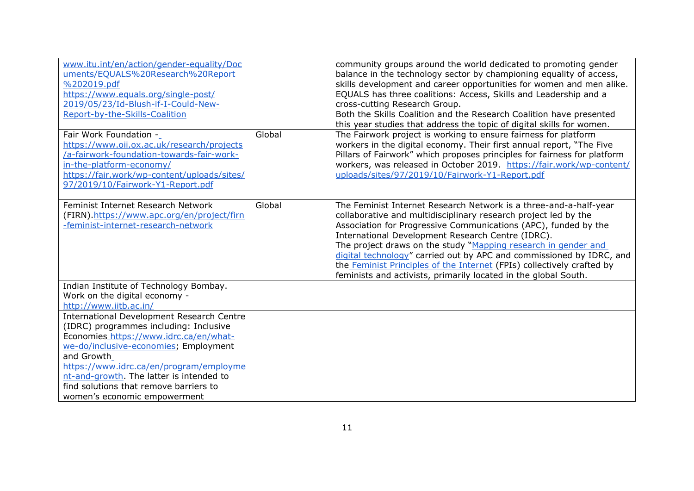| www.itu.int/en/action/gender-equality/Doc<br>uments/EQUALS%20Research%20Report<br>%202019.pdf<br>https://www.equals.org/single-post/<br>2019/05/23/Id-Blush-if-I-Could-New-<br>Report-by-the-Skills-Coalition                                                                                                                                                |        | community groups around the world dedicated to promoting gender<br>balance in the technology sector by championing equality of access,<br>skills development and career opportunities for women and men alike.<br>EQUALS has three coalitions: Access, Skills and Leadership and a<br>cross-cutting Research Group.<br>Both the Skills Coalition and the Research Coalition have presented<br>this year studies that address the topic of digital skills for women.                                                                                        |
|--------------------------------------------------------------------------------------------------------------------------------------------------------------------------------------------------------------------------------------------------------------------------------------------------------------------------------------------------------------|--------|------------------------------------------------------------------------------------------------------------------------------------------------------------------------------------------------------------------------------------------------------------------------------------------------------------------------------------------------------------------------------------------------------------------------------------------------------------------------------------------------------------------------------------------------------------|
| Fair Work Foundation -<br>https://www.oii.ox.ac.uk/research/projects<br>/a-fairwork-foundation-towards-fair-work-<br>in-the-platform-economy/<br>https://fair.work/wp-content/uploads/sites/<br>97/2019/10/Fairwork-Y1-Report.pdf                                                                                                                            | Global | The Fairwork project is working to ensure fairness for platform<br>workers in the digital economy. Their first annual report, "The Five<br>Pillars of Fairwork" which proposes principles for fairness for platform<br>workers, was released in October 2019. https://fair.work/wp-content/<br>uploads/sites/97/2019/10/Fairwork-Y1-Report.pdf                                                                                                                                                                                                             |
| Feminist Internet Research Network<br>(FIRN).https://www.apc.org/en/project/firn<br>-feminist-internet-research-network                                                                                                                                                                                                                                      | Global | The Feminist Internet Research Network is a three-and-a-half-year<br>collaborative and multidisciplinary research project led by the<br>Association for Progressive Communications (APC), funded by the<br>International Development Research Centre (IDRC).<br>The project draws on the study "Mapping research in gender and<br>digital technology" carried out by APC and commissioned by IDRC, and<br>the <b>Feminist Principles of the Internet</b> (FPIs) collectively crafted by<br>feminists and activists, primarily located in the global South. |
| Indian Institute of Technology Bombay.<br>Work on the digital economy -<br>http://www.iitb.ac.in/                                                                                                                                                                                                                                                            |        |                                                                                                                                                                                                                                                                                                                                                                                                                                                                                                                                                            |
| <b>International Development Research Centre</b><br>(IDRC) programmes including: Inclusive<br>Economies_https://www.idrc.ca/en/what-<br>we-do/inclusive-economies; Employment<br>and Growth<br>https://www.idrc.ca/en/program/employme<br>nt-and-growth. The latter is intended to<br>find solutions that remove barriers to<br>women's economic empowerment |        |                                                                                                                                                                                                                                                                                                                                                                                                                                                                                                                                                            |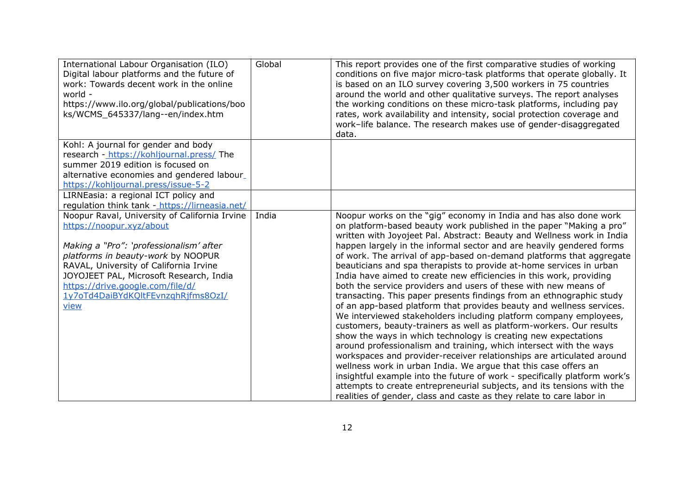| International Labour Organisation (ILO)<br>Digital labour platforms and the future of<br>work: Towards decent work in the online<br>world -<br>https://www.ilo.org/global/publications/boo<br>ks/WCMS_645337/lang--en/index.htm                                                                                                   | Global | This report provides one of the first comparative studies of working<br>conditions on five major micro-task platforms that operate globally. It<br>is based on an ILO survey covering 3,500 workers in 75 countries<br>around the world and other qualitative surveys. The report analyses<br>the working conditions on these micro-task platforms, including pay<br>rates, work availability and intensity, social protection coverage and<br>work-life balance. The research makes use of gender-disaggregated<br>data.                                                                                                                                                                                                                                                                                                                                                                                                                                                                                                                                                                                                                                                                                                                                                                                                                                                                          |
|-----------------------------------------------------------------------------------------------------------------------------------------------------------------------------------------------------------------------------------------------------------------------------------------------------------------------------------|--------|----------------------------------------------------------------------------------------------------------------------------------------------------------------------------------------------------------------------------------------------------------------------------------------------------------------------------------------------------------------------------------------------------------------------------------------------------------------------------------------------------------------------------------------------------------------------------------------------------------------------------------------------------------------------------------------------------------------------------------------------------------------------------------------------------------------------------------------------------------------------------------------------------------------------------------------------------------------------------------------------------------------------------------------------------------------------------------------------------------------------------------------------------------------------------------------------------------------------------------------------------------------------------------------------------------------------------------------------------------------------------------------------------|
| Kohl: A journal for gender and body<br>research - https://kohljournal.press/ The<br>summer 2019 edition is focused on<br>alternative economies and gendered labour_<br>https://kohljournal.press/issue-5-2                                                                                                                        |        |                                                                                                                                                                                                                                                                                                                                                                                                                                                                                                                                                                                                                                                                                                                                                                                                                                                                                                                                                                                                                                                                                                                                                                                                                                                                                                                                                                                                    |
| LIRNEasia: a regional ICT policy and<br>regulation think tank - https://lirneasia.net/                                                                                                                                                                                                                                            |        |                                                                                                                                                                                                                                                                                                                                                                                                                                                                                                                                                                                                                                                                                                                                                                                                                                                                                                                                                                                                                                                                                                                                                                                                                                                                                                                                                                                                    |
| Noopur Raval, University of California Irvine<br>https://noopur.xyz/about<br>Making a "Pro": 'professionalism' after<br>platforms in beauty-work by NOOPUR<br>RAVAL, University of California Irvine<br>JOYOJEET PAL, Microsoft Research, India<br>https://drive.google.com/file/d/<br>1y7oTd4DaiBYdKQltFEvnzghRjfms8OzI/<br>view | India  | Noopur works on the "gig" economy in India and has also done work<br>on platform-based beauty work published in the paper "Making a pro"<br>written with Joyojeet Pal. Abstract: Beauty and Wellness work in India<br>happen largely in the informal sector and are heavily gendered forms<br>of work. The arrival of app-based on-demand platforms that aggregate<br>beauticians and spa therapists to provide at-home services in urban<br>India have aimed to create new efficiencies in this work, providing<br>both the service providers and users of these with new means of<br>transacting. This paper presents findings from an ethnographic study<br>of an app-based platform that provides beauty and wellness services.<br>We interviewed stakeholders including platform company employees,<br>customers, beauty-trainers as well as platform-workers. Our results<br>show the ways in which technology is creating new expectations<br>around professionalism and training, which intersect with the ways<br>workspaces and provider-receiver relationships are articulated around<br>wellness work in urban India. We argue that this case offers an<br>insightful example into the future of work - specifically platform work's<br>attempts to create entrepreneurial subjects, and its tensions with the<br>realities of gender, class and caste as they relate to care labor in |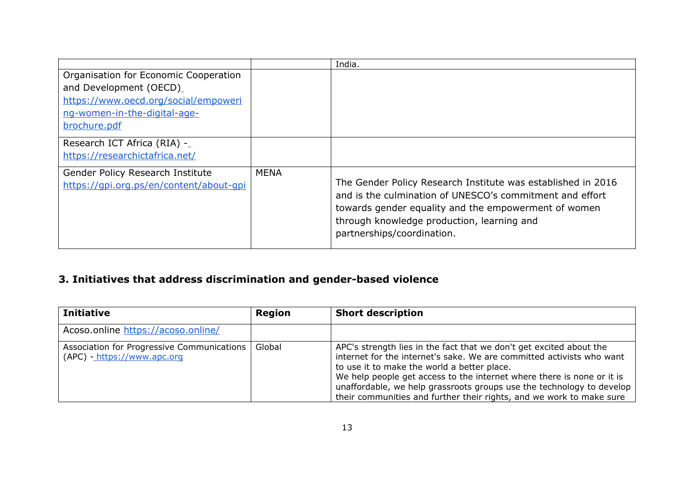|                                         |             | India.                                                       |
|-----------------------------------------|-------------|--------------------------------------------------------------|
| Organisation for Economic Cooperation   |             |                                                              |
| and Development (OECD)                  |             |                                                              |
| https://www.oecd.org/social/empoweri    |             |                                                              |
| ng-women-in-the-digital-age-            |             |                                                              |
| brochure.pdf                            |             |                                                              |
| Research ICT Africa (RIA) -_            |             |                                                              |
| https://researchictafrica.net/          |             |                                                              |
| Gender Policy Research Institute        | <b>MENA</b> |                                                              |
| https://gpi.org.ps/en/content/about-gpi |             | The Gender Policy Research Institute was established in 2016 |
|                                         |             | and is the culmination of UNESCO's commitment and effort     |
|                                         |             | towards gender equality and the empowerment of women         |
|                                         |             | through knowledge production, learning and                   |
|                                         |             | partnerships/coordination.                                   |
|                                         |             |                                                              |

## <span id="page-12-0"></span>**3. Initiatives that address discrimination and gender-based violence**

| <b>Initiative</b>                                                         | Region | <b>Short description</b>                                                                                                                                                                                                                                                                                                                                                                                               |
|---------------------------------------------------------------------------|--------|------------------------------------------------------------------------------------------------------------------------------------------------------------------------------------------------------------------------------------------------------------------------------------------------------------------------------------------------------------------------------------------------------------------------|
| Acoso.online https://acoso.online/                                        |        |                                                                                                                                                                                                                                                                                                                                                                                                                        |
| Association for Progressive Communications<br>(APC) - https://www.apc.org | Global | APC's strength lies in the fact that we don't get excited about the<br>internet for the internet's sake. We are committed activists who want<br>to use it to make the world a better place.<br>We help people get access to the internet where there is none or it is<br>unaffordable, we help grassroots groups use the technology to develop<br>their communities and further their rights, and we work to make sure |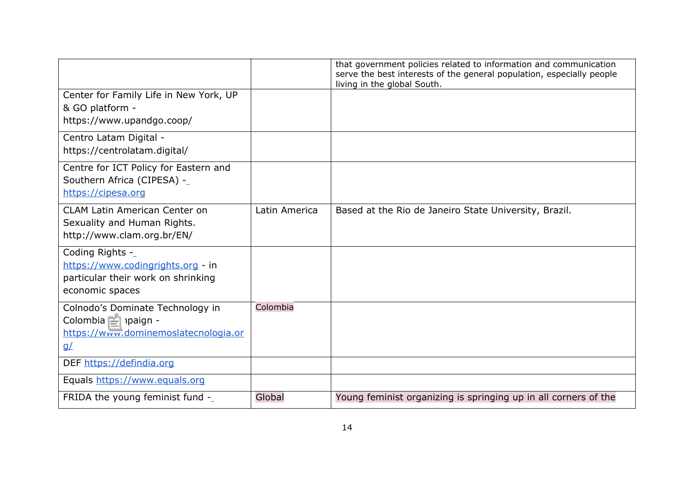|                                                                                                                |               | that government policies related to information and communication<br>serve the best interests of the general population, especially people<br>living in the global South. |
|----------------------------------------------------------------------------------------------------------------|---------------|---------------------------------------------------------------------------------------------------------------------------------------------------------------------------|
| Center for Family Life in New York, UP<br>& GO platform -<br>https://www.upandgo.coop/                         |               |                                                                                                                                                                           |
| Centro Latam Digital -<br>https://centrolatam.digital/                                                         |               |                                                                                                                                                                           |
| Centre for ICT Policy for Eastern and<br>Southern Africa (CIPESA) -_<br>https://cipesa.org                     |               |                                                                                                                                                                           |
| <b>CLAM Latin American Center on</b><br>Sexuality and Human Rights.<br>http://www.clam.org.br/EN/              | Latin America | Based at the Rio de Janeiro State University, Brazil.                                                                                                                     |
| Coding Rights -_<br>https://www.codingrights.org - in<br>particular their work on shrinking<br>economic spaces |               |                                                                                                                                                                           |
| Colnodo's Dominate Technology in<br>Colombia campaign -<br>https://www.dominemoslatecnologia.or<br>$g\angle$   | Colombia      |                                                                                                                                                                           |
| DEF https://defindia.org                                                                                       |               |                                                                                                                                                                           |
| Equals https://www.equals.org                                                                                  |               |                                                                                                                                                                           |
| FRIDA the young feminist fund -                                                                                | Global        | Young feminist organizing is springing up in all corners of the                                                                                                           |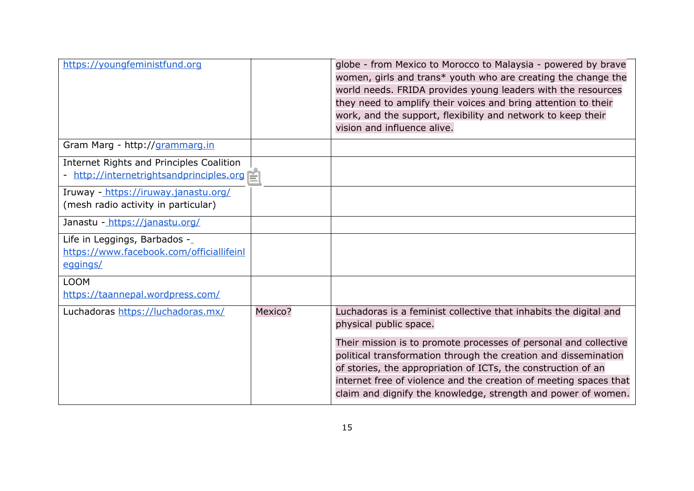| https://youngfeministfund.org                                                         |         | globe - from Mexico to Morocco to Malaysia - powered by brave<br>women, girls and trans* youth who are creating the change the<br>world needs. FRIDA provides young leaders with the resources<br>they need to amplify their voices and bring attention to their<br>work, and the support, flexibility and network to keep their<br>vision and influence alive.                                                                           |
|---------------------------------------------------------------------------------------|---------|-------------------------------------------------------------------------------------------------------------------------------------------------------------------------------------------------------------------------------------------------------------------------------------------------------------------------------------------------------------------------------------------------------------------------------------------|
| Gram Marg - http://grammarg.in                                                        |         |                                                                                                                                                                                                                                                                                                                                                                                                                                           |
| Internet Rights and Principles Coalition<br>- http://internetrightsandprinciples.org  |         |                                                                                                                                                                                                                                                                                                                                                                                                                                           |
| Iruway - https://iruway.janastu.org/<br>(mesh radio activity in particular)           |         |                                                                                                                                                                                                                                                                                                                                                                                                                                           |
| Janastu - https://janastu.org/                                                        |         |                                                                                                                                                                                                                                                                                                                                                                                                                                           |
| Life in Leggings, Barbados -_<br>https://www.facebook.com/officiallifeinl<br>eggings/ |         |                                                                                                                                                                                                                                                                                                                                                                                                                                           |
| <b>LOOM</b><br>https://taannepal.wordpress.com/                                       |         |                                                                                                                                                                                                                                                                                                                                                                                                                                           |
| Luchadoras https://luchadoras.mx/                                                     | Mexico? | Luchadoras is a feminist collective that inhabits the digital and<br>physical public space.<br>Their mission is to promote processes of personal and collective<br>political transformation through the creation and dissemination<br>of stories, the appropriation of ICTs, the construction of an<br>internet free of violence and the creation of meeting spaces that<br>claim and dignify the knowledge, strength and power of women. |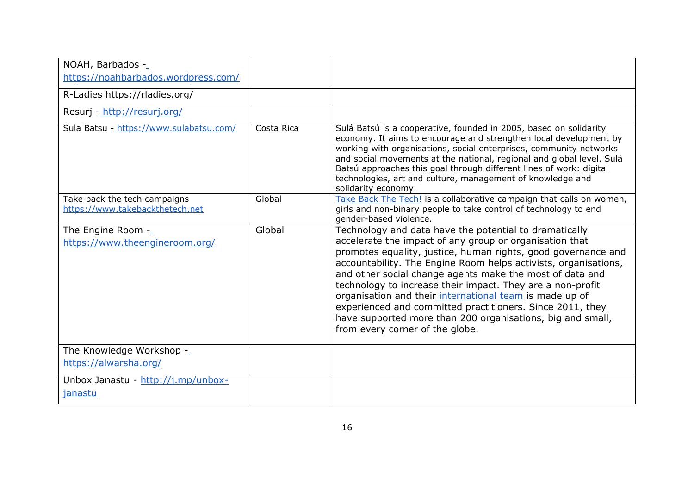| NOAH, Barbados -_<br>https://noahbarbados.wordpress.com/        |            |                                                                                                                                                                                                                                                                                                                                                                                                                                                                                                                                                                                                          |
|-----------------------------------------------------------------|------------|----------------------------------------------------------------------------------------------------------------------------------------------------------------------------------------------------------------------------------------------------------------------------------------------------------------------------------------------------------------------------------------------------------------------------------------------------------------------------------------------------------------------------------------------------------------------------------------------------------|
| R-Ladies https://rladies.org/                                   |            |                                                                                                                                                                                                                                                                                                                                                                                                                                                                                                                                                                                                          |
| Resurj - http://resurj.org/                                     |            |                                                                                                                                                                                                                                                                                                                                                                                                                                                                                                                                                                                                          |
| Sula Batsu - https://www.sulabatsu.com/                         | Costa Rica | Sulá Batsú is a cooperative, founded in 2005, based on solidarity<br>economy. It aims to encourage and strengthen local development by<br>working with organisations, social enterprises, community networks<br>and social movements at the national, regional and global level. Sulá<br>Batsú approaches this goal through different lines of work: digital<br>technologies, art and culture, management of knowledge and<br>solidarity economy.                                                                                                                                                        |
| Take back the tech campaigns<br>https://www.takebackthetech.net | Global     | Take Back The Tech! is a collaborative campaign that calls on women,<br>girls and non-binary people to take control of technology to end<br>gender-based violence.                                                                                                                                                                                                                                                                                                                                                                                                                                       |
| The Engine Room -<br>https://www.theengineroom.org/             | Global     | Technology and data have the potential to dramatically<br>accelerate the impact of any group or organisation that<br>promotes equality, justice, human rights, good governance and<br>accountability. The Engine Room helps activists, organisations,<br>and other social change agents make the most of data and<br>technology to increase their impact. They are a non-profit<br>organisation and their international team is made up of<br>experienced and committed practitioners. Since 2011, they<br>have supported more than 200 organisations, big and small,<br>from every corner of the globe. |
| The Knowledge Workshop -_<br>https://alwarsha.org/              |            |                                                                                                                                                                                                                                                                                                                                                                                                                                                                                                                                                                                                          |
| Unbox Janastu - http://j.mp/unbox-<br>janastu                   |            |                                                                                                                                                                                                                                                                                                                                                                                                                                                                                                                                                                                                          |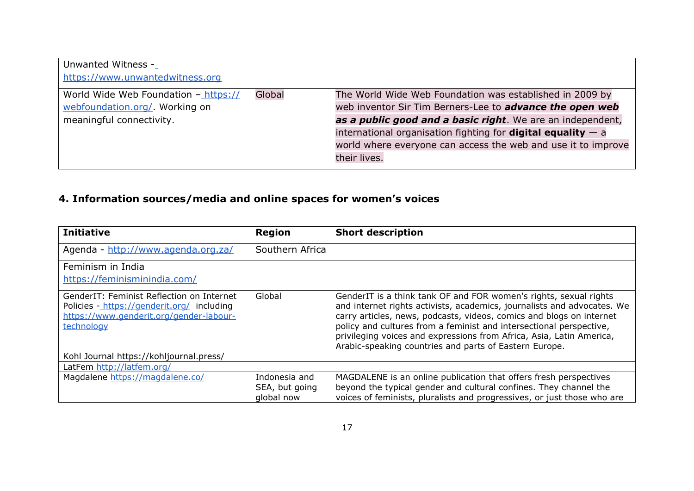| Global | The World Wide Web Foundation was established in 2009 by              |
|--------|-----------------------------------------------------------------------|
|        | web inventor Sir Tim Berners-Lee to advance the open web              |
|        | as a public good and a basic right. We are an independent,            |
|        | international organisation fighting for <b>digital equality</b> $-$ a |
|        | world where everyone can access the web and use it to improve         |
|        | their lives.                                                          |
|        |                                                                       |

### <span id="page-16-0"></span>**4. Information sources/media and online spaces for women's voices**

| <b>Initiative</b>                                                                                                                                | <b>Region</b>   | <b>Short description</b>                                                                                                                                                                                                                                                                                                                                                                                                      |
|--------------------------------------------------------------------------------------------------------------------------------------------------|-----------------|-------------------------------------------------------------------------------------------------------------------------------------------------------------------------------------------------------------------------------------------------------------------------------------------------------------------------------------------------------------------------------------------------------------------------------|
| Agenda - http://www.agenda.org.za/                                                                                                               | Southern Africa |                                                                                                                                                                                                                                                                                                                                                                                                                               |
| Feminism in India                                                                                                                                |                 |                                                                                                                                                                                                                                                                                                                                                                                                                               |
| https://feminisminindia.com/                                                                                                                     |                 |                                                                                                                                                                                                                                                                                                                                                                                                                               |
| GenderIT: Feminist Reflection on Internet<br>Policies - https://genderit.org/ including<br>https://www.genderit.org/gender-labour-<br>technology | Global          | GenderIT is a think tank OF and FOR women's rights, sexual rights<br>and internet rights activists, academics, journalists and advocates. We<br>carry articles, news, podcasts, videos, comics and blogs on internet<br>policy and cultures from a feminist and intersectional perspective,<br>privileging voices and expressions from Africa, Asia, Latin America,<br>Arabic-speaking countries and parts of Eastern Europe. |
| Kohl Journal https://kohljournal.press/                                                                                                          |                 |                                                                                                                                                                                                                                                                                                                                                                                                                               |
| LatFem http://latfem.org/                                                                                                                        |                 |                                                                                                                                                                                                                                                                                                                                                                                                                               |
| Magdalene https://magdalene.co/                                                                                                                  | Indonesia and   | MAGDALENE is an online publication that offers fresh perspectives                                                                                                                                                                                                                                                                                                                                                             |
|                                                                                                                                                  | SEA, but going  | beyond the typical gender and cultural confines. They channel the                                                                                                                                                                                                                                                                                                                                                             |
|                                                                                                                                                  | global now      | voices of feminists, pluralists and progressives, or just those who are                                                                                                                                                                                                                                                                                                                                                       |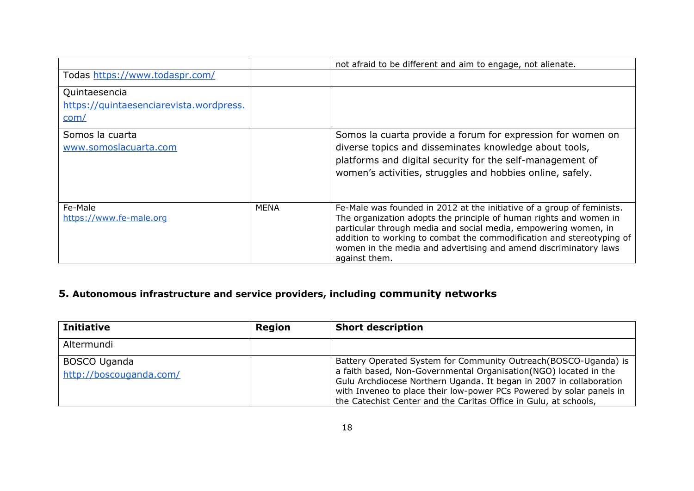|                                         |             | not afraid to be different and aim to engage, not alienate.                                                                              |
|-----------------------------------------|-------------|------------------------------------------------------------------------------------------------------------------------------------------|
| Todas https://www.todaspr.com/          |             |                                                                                                                                          |
| Quintaesencia                           |             |                                                                                                                                          |
| https://quintaesenciarevista.wordpress. |             |                                                                                                                                          |
| com/                                    |             |                                                                                                                                          |
| Somos la cuarta                         |             | Somos la cuarta provide a forum for expression for women on                                                                              |
| www.somoslacuarta.com                   |             | diverse topics and disseminates knowledge about tools,                                                                                   |
|                                         |             | platforms and digital security for the self-management of                                                                                |
|                                         |             | women's activities, struggles and hobbies online, safely.                                                                                |
|                                         |             |                                                                                                                                          |
| Fe-Male                                 | <b>MENA</b> | Fe-Male was founded in 2012 at the initiative of a group of feminists.                                                                   |
| https://www.fe-male.org                 |             | The organization adopts the principle of human rights and women in                                                                       |
|                                         |             | particular through media and social media, empowering women, in<br>addition to working to combat the commodification and stereotyping of |
|                                         |             | women in the media and advertising and amend discriminatory laws                                                                         |
|                                         |             | against them.                                                                                                                            |

# <span id="page-17-0"></span>**5. Autonomous infrastructure and service providers, including community networks**

| <b>Initiative</b>                              | <b>Region</b> | <b>Short description</b>                                                                                                                                                                                                                                                                                                                                |
|------------------------------------------------|---------------|---------------------------------------------------------------------------------------------------------------------------------------------------------------------------------------------------------------------------------------------------------------------------------------------------------------------------------------------------------|
| Altermundi                                     |               |                                                                                                                                                                                                                                                                                                                                                         |
| <b>BOSCO Uganda</b><br>http://boscouganda.com/ |               | Battery Operated System for Community Outreach (BOSCO-Uganda) is<br>a faith based, Non-Governmental Organisation(NGO) located in the<br>Gulu Archdiocese Northern Uganda. It began in 2007 in collaboration<br>with Inveneo to place their low-power PCs Powered by solar panels in<br>the Catechist Center and the Caritas Office in Gulu, at schools, |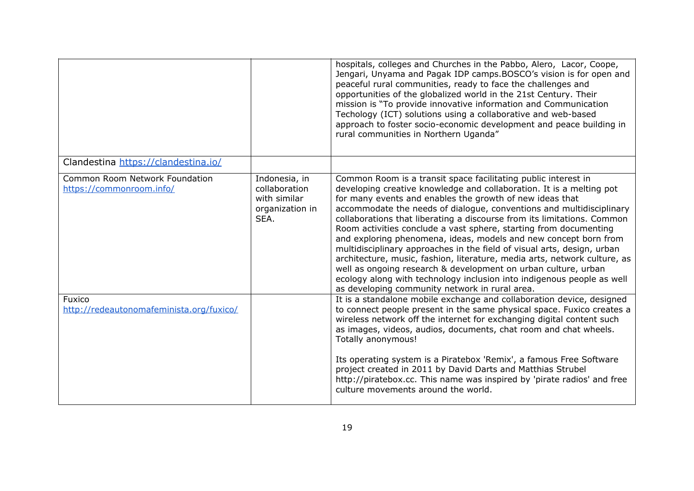|                                                            |                                                                           | hospitals, colleges and Churches in the Pabbo, Alero, Lacor, Coope,<br>Jengari, Unyama and Pagak IDP camps.BOSCO's vision is for open and<br>peaceful rural communities, ready to face the challenges and<br>opportunities of the globalized world in the 21st Century. Their<br>mission is "To provide innovative information and Communication<br>Techology (ICT) solutions using a collaborative and web-based<br>approach to foster socio-economic development and peace building in<br>rural communities in Northern Uganda"                                                                                                                                                                                                                                                                                                                    |
|------------------------------------------------------------|---------------------------------------------------------------------------|------------------------------------------------------------------------------------------------------------------------------------------------------------------------------------------------------------------------------------------------------------------------------------------------------------------------------------------------------------------------------------------------------------------------------------------------------------------------------------------------------------------------------------------------------------------------------------------------------------------------------------------------------------------------------------------------------------------------------------------------------------------------------------------------------------------------------------------------------|
| Clandestina https://clandestina.io/                        |                                                                           |                                                                                                                                                                                                                                                                                                                                                                                                                                                                                                                                                                                                                                                                                                                                                                                                                                                      |
| Common Room Network Foundation<br>https://commonroom.info/ | Indonesia, in<br>collaboration<br>with similar<br>organization in<br>SEA. | Common Room is a transit space facilitating public interest in<br>developing creative knowledge and collaboration. It is a melting pot<br>for many events and enables the growth of new ideas that<br>accommodate the needs of dialogue, conventions and multidisciplinary<br>collaborations that liberating a discourse from its limitations. Common<br>Room activities conclude a vast sphere, starting from documenting<br>and exploring phenomena, ideas, models and new concept born from<br>multidisciplinary approaches in the field of visual arts, design, urban<br>architecture, music, fashion, literature, media arts, network culture, as<br>well as ongoing research & development on urban culture, urban<br>ecology along with technology inclusion into indigenous people as well<br>as developing community network in rural area. |
| Fuxico<br>http://redeautonomafeminista.org/fuxico/         |                                                                           | It is a standalone mobile exchange and collaboration device, designed<br>to connect people present in the same physical space. Fuxico creates a<br>wireless network off the internet for exchanging digital content such<br>as images, videos, audios, documents, chat room and chat wheels.<br>Totally anonymous!                                                                                                                                                                                                                                                                                                                                                                                                                                                                                                                                   |
|                                                            |                                                                           | Its operating system is a Piratebox 'Remix', a famous Free Software<br>project created in 2011 by David Darts and Matthias Strubel<br>http://piratebox.cc. This name was inspired by 'pirate radios' and free<br>culture movements around the world.                                                                                                                                                                                                                                                                                                                                                                                                                                                                                                                                                                                                 |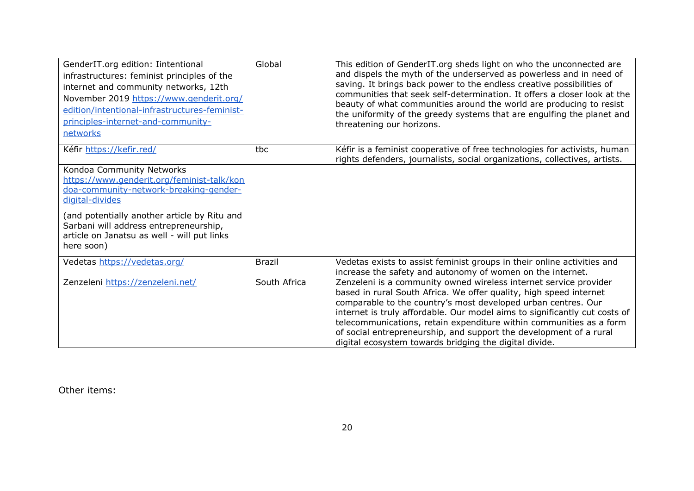| GenderIT.org edition: Iintentional<br>infrastructures: feminist principles of the<br>internet and community networks, 12th<br>November 2019 https://www.genderit.org/<br>edition/intentional-infrastructures-feminist-<br>principles-internet-and-community-<br>networks | Global        | This edition of GenderIT.org sheds light on who the unconnected are<br>and dispels the myth of the underserved as powerless and in need of<br>saving. It brings back power to the endless creative possibilities of<br>communities that seek self-determination. It offers a closer look at the<br>beauty of what communities around the world are producing to resist<br>the uniformity of the greedy systems that are engulfing the planet and<br>threatening our horizons.                 |
|--------------------------------------------------------------------------------------------------------------------------------------------------------------------------------------------------------------------------------------------------------------------------|---------------|-----------------------------------------------------------------------------------------------------------------------------------------------------------------------------------------------------------------------------------------------------------------------------------------------------------------------------------------------------------------------------------------------------------------------------------------------------------------------------------------------|
| Kéfir https://kefir.red/                                                                                                                                                                                                                                                 | tbc           | Kéfir is a feminist cooperative of free technologies for activists, human<br>rights defenders, journalists, social organizations, collectives, artists.                                                                                                                                                                                                                                                                                                                                       |
| Kondoa Community Networks<br>https://www.genderit.org/feminist-talk/kon<br>doa-community-network-breaking-gender-<br>digital-divides                                                                                                                                     |               |                                                                                                                                                                                                                                                                                                                                                                                                                                                                                               |
| (and potentially another article by Ritu and<br>Sarbani will address entrepreneurship,<br>article on Janatsu as well - will put links<br>here soon)                                                                                                                      |               |                                                                                                                                                                                                                                                                                                                                                                                                                                                                                               |
| Vedetas https://vedetas.org/                                                                                                                                                                                                                                             | <b>Brazil</b> | Vedetas exists to assist feminist groups in their online activities and<br>increase the safety and autonomy of women on the internet.                                                                                                                                                                                                                                                                                                                                                         |
| Zenzeleni https://zenzeleni.net/                                                                                                                                                                                                                                         | South Africa  | Zenzeleni is a community owned wireless internet service provider<br>based in rural South Africa. We offer quality, high speed internet<br>comparable to the country's most developed urban centres. Our<br>internet is truly affordable. Our model aims to significantly cut costs of<br>telecommunications, retain expenditure within communities as a form<br>of social entrepreneurship, and support the development of a rural<br>digital ecosystem towards bridging the digital divide. |

Other items: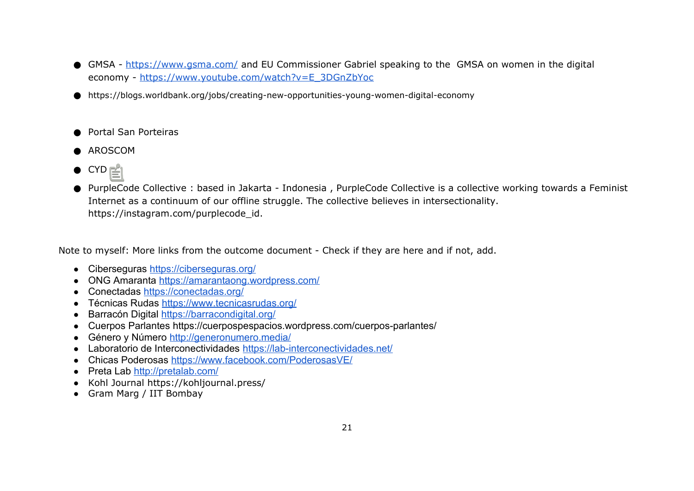- GMSA -<https://www.gsma.com/>and EU Commissioner Gabriel speaking to the GMSA on women in the digital economy - [https://www.youtube.com/watch?v=E\\_3DGnZbYoc](https://www.youtube.com/watch?v=E_3DGnZbYoc)
- https://blogs.worldbank.org/jobs/creating-new-opportunities-young-women-digital-economy
- **Portal San Porteiras**
- AROSCOM
- CYD
- PurpleCode Collective : based in Jakarta Indonesia , PurpleCode Collective is a collective working towards a Feminist Internet as a continuum of our offline struggle. The collective believes in intersectionality. https://instagram.com/purplecode\_id.

Note to myself: More links from the outcome document - Check if they are here and if not, add.

- Ciberseguras<https://ciberseguras.org/>
- ONG Amaranta<https://amarantaong.wordpress.com/>
- Conectadas<https://conectadas.org/>
- Técnicas Rudas<https://www.tecnicasrudas.org/>
- Barracón Digital<https://barracondigital.org/>
- Cuerpos Parlantes<https://cuerpospespacios.wordpress.com/cuerpos-parlantes/>
- Género y Número<http://generonumero.media/>
- Laboratorio de Interconectividades<https://lab-interconectividades.net/>
- Chicas Poderosas<https://www.facebook.com/PoderosasVE/>
- Preta Lab<http://pretalab.com/>
- Kohl Journal https://kohljournal.press/
- Gram Marg / IIT Bombay